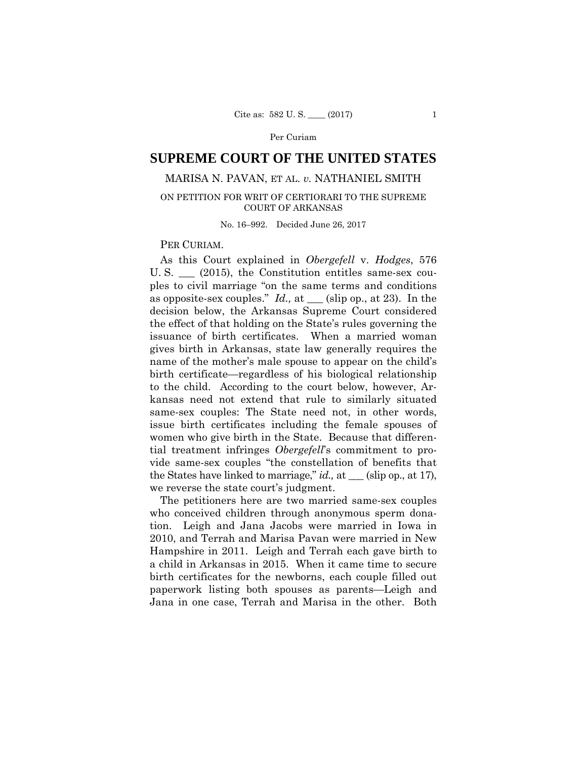## Per Curiam

# **SUPREME COURT OF THE UNITED STATES**

# MARISA N. PAVAN, ET AL. *v.* NATHANIEL SMITH

## ON PETITION FOR WRIT OF CERTIORARI TO THE SUPREME COURT OF ARKANSAS

No. 16–992. Decided June 26, 2017

### PER CURIAM.

As this Court explained in *Obergefell* v. *Hodges*, 576 U. S. \_\_\_ (2015), the Constitution entitles same-sex couples to civil marriage "on the same terms and conditions as opposite-sex couples." *Id.,* at \_\_\_ (slip op., at 23). In the decision below, the Arkansas Supreme Court considered the effect of that holding on the State's rules governing the issuance of birth certificates. When a married woman gives birth in Arkansas, state law generally requires the name of the mother's male spouse to appear on the child's birth certificate—regardless of his biological relationship to the child. According to the court below, however, Arkansas need not extend that rule to similarly situated same-sex couples: The State need not, in other words, issue birth certificates including the female spouses of women who give birth in the State. Because that differential treatment infringes *Obergefell*'s commitment to provide same-sex couples "the constellation of benefits that the States have linked to marriage," *id.,* at \_\_\_ (slip op., at 17), we reverse the state court's judgment.

The petitioners here are two married same-sex couples who conceived children through anonymous sperm donation. Leigh and Jana Jacobs were married in Iowa in 2010, and Terrah and Marisa Pavan were married in New Hampshire in 2011. Leigh and Terrah each gave birth to a child in Arkansas in 2015. When it came time to secure birth certificates for the newborns, each couple filled out paperwork listing both spouses as parents—Leigh and Jana in one case, Terrah and Marisa in the other. Both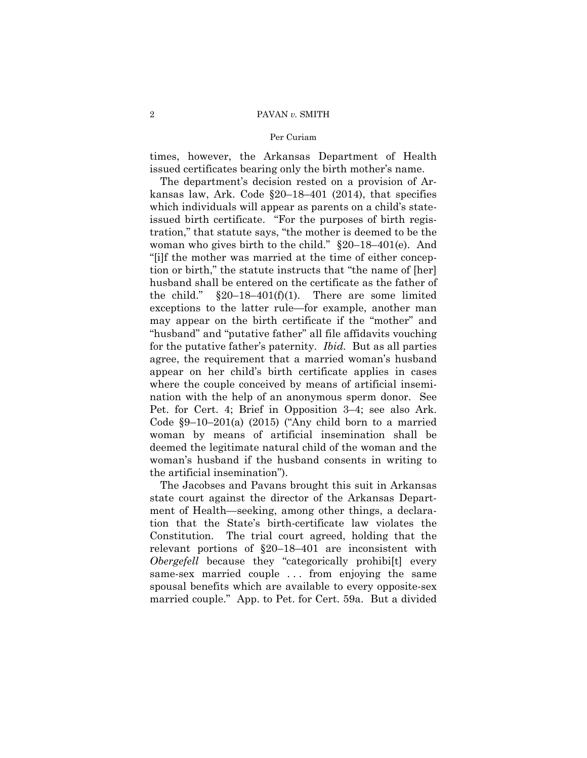#### 2 PAVAN *v.* SMITH

#### Per Curiam

times, however, the Arkansas Department of Health issued certificates bearing only the birth mother's name.

The department's decision rested on a provision of Arkansas law, Ark. Code §20–18–401 (2014), that specifies which individuals will appear as parents on a child's stateissued birth certificate. "For the purposes of birth registration," that statute says, "the mother is deemed to be the woman who gives birth to the child." §20–18–401(e). And "[i]f the mother was married at the time of either conception or birth," the statute instructs that "the name of [her] husband shall be entered on the certificate as the father of the child."  $\S20-18-401(f)(1)$ . There are some limited exceptions to the latter rule—for example, another man may appear on the birth certificate if the "mother" and "husband" and "putative father" all file affidavits vouching for the putative father's paternity. *Ibid.* But as all parties agree, the requirement that a married woman's husband appear on her child's birth certificate applies in cases where the couple conceived by means of artificial insemination with the help of an anonymous sperm donor. See Pet. for Cert. 4; Brief in Opposition 3–4; see also Ark. Code §9–10–201(a) (2015) ("Any child born to a married woman by means of artificial insemination shall be deemed the legitimate natural child of the woman and the woman's husband if the husband consents in writing to the artificial insemination").

The Jacobses and Pavans brought this suit in Arkansas state court against the director of the Arkansas Department of Health—seeking, among other things, a declaration that the State's birth-certificate law violates the Constitution. The trial court agreed, holding that the relevant portions of §20–18–401 are inconsistent with *Obergefell* because they "categorically prohibi[t] every same-sex married couple ... from enjoying the same spousal benefits which are available to every opposite-sex married couple." App. to Pet. for Cert. 59a. But a divided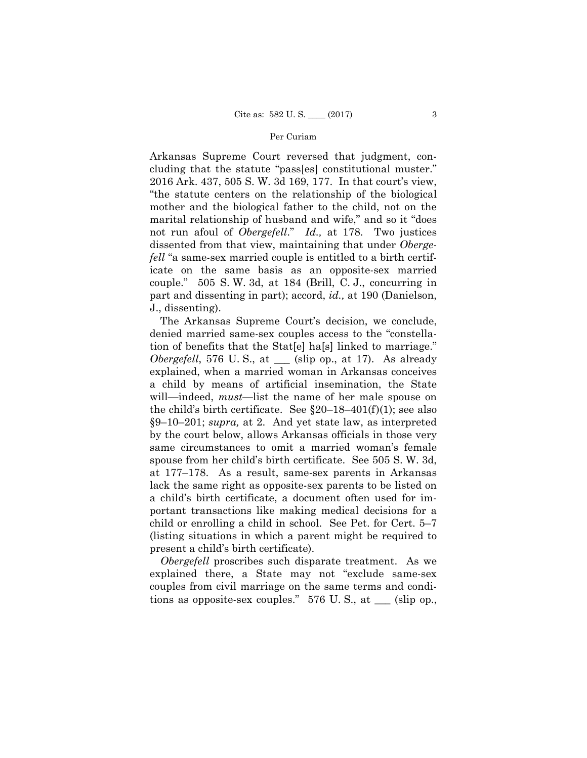#### Per Curiam

 not run afoul of *Obergefell*." *Id.,* at 178. Two justices Arkansas Supreme Court reversed that judgment, concluding that the statute "pass[es] constitutional muster." 2016 Ark. 437, 505 S. W. 3d 169, 177. In that court's view, "the statute centers on the relationship of the biological mother and the biological father to the child, not on the marital relationship of husband and wife," and so it "does dissented from that view, maintaining that under *Obergefell* "a same-sex married couple is entitled to a birth certificate on the same basis as an opposite-sex married couple." 505 S. W. 3d, at 184 (Brill, C. J., concurring in part and dissenting in part); accord, *id.,* at 190 (Danielson, J., dissenting).

The Arkansas Supreme Court's decision, we conclude, denied married same-sex couples access to the "constellation of benefits that the Stat[e] ha[s] linked to marriage." *Obergefell*, 576 U.S., at <u>setching</u> (slip op., at 17). As already explained, when a married woman in Arkansas conceives a child by means of artificial insemination, the State will—indeed, *must*—list the name of her male spouse on the child's birth certificate. See  $\S20-18-401(f)(1)$ ; see also §9–10–201; *supra,* at 2. And yet state law, as interpreted by the court below, allows Arkansas officials in those very same circumstances to omit a married woman's female spouse from her child's birth certificate. See 505 S. W. 3d, at 177–178. As a result, same-sex parents in Arkansas lack the same right as opposite-sex parents to be listed on a child's birth certificate, a document often used for important transactions like making medical decisions for a child or enrolling a child in school. See Pet. for Cert. 5–7 (listing situations in which a parent might be required to present a child's birth certificate).

*Obergefell* proscribes such disparate treatment. As we explained there, a State may not "exclude same-sex couples from civil marriage on the same terms and conditions as opposite-sex couples." 576 U. S., at \_\_\_ (slip op.,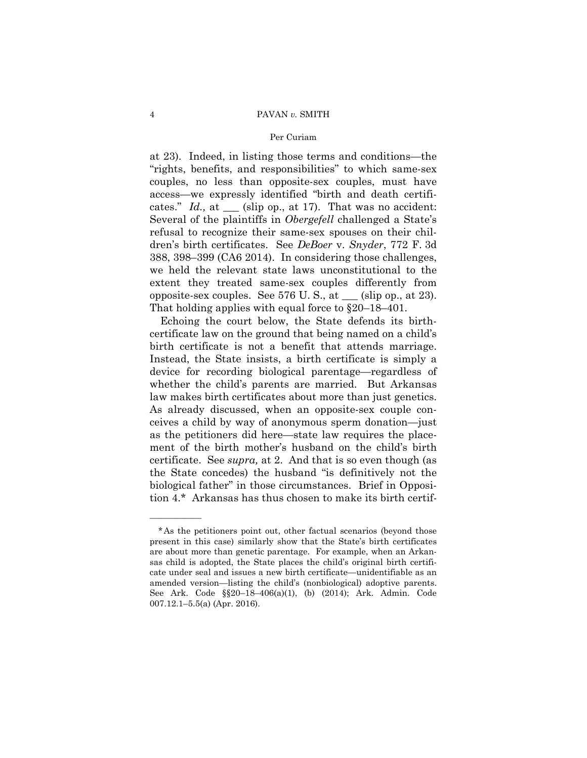#### 4 PAVAN *v.* SMITH

#### Per Curiam

at 23). Indeed, in listing those terms and conditions—the "rights, benefits, and responsibilities" to which same-sex couples, no less than opposite-sex couples, must have access—we expressly identified "birth and death certificates." *Id.*, at \_\_\_ (slip op., at 17). That was no accident: Several of the plaintiffs in *Obergefell* challenged a State's refusal to recognize their same-sex spouses on their children's birth certificates. See *DeBoer* v. *Snyder*, 772 F. 3d 388, 398–399 (CA6 2014). In considering those challenges, we held the relevant state laws unconstitutional to the extent they treated same-sex couples differently from opposite-sex couples. See 576 U. S., at \_\_\_ (slip op., at 23). That holding applies with equal force to §20–18–401.

Echoing the court below, the State defends its birthcertificate law on the ground that being named on a child's birth certificate is not a benefit that attends marriage. Instead, the State insists, a birth certificate is simply a device for recording biological parentage—regardless of whether the child's parents are married. But Arkansas law makes birth certificates about more than just genetics. As already discussed, when an opposite-sex couple conceives a child by way of anonymous sperm donation—just as the petitioners did here—state law requires the placement of the birth mother's husband on the child's birth certificate. See *supra,* at 2. And that is so even though (as the State concedes) the husband "is definitively not the biological father" in those circumstances. Brief in Opposition 4.\* Arkansas has thus chosen to make its birth certif-

——————

<sup>\*</sup>As the petitioners point out, other factual scenarios (beyond those present in this case) similarly show that the State's birth certificates are about more than genetic parentage. For example, when an Arkansas child is adopted, the State places the child's original birth certificate under seal and issues a new birth certificate—unidentifiable as an amended version—listing the child's (nonbiological) adoptive parents. See Ark. Code §§20–18–406(a)(1), (b) (2014); Ark. Admin. Code 007.12.1–5.5(a) (Apr. 2016).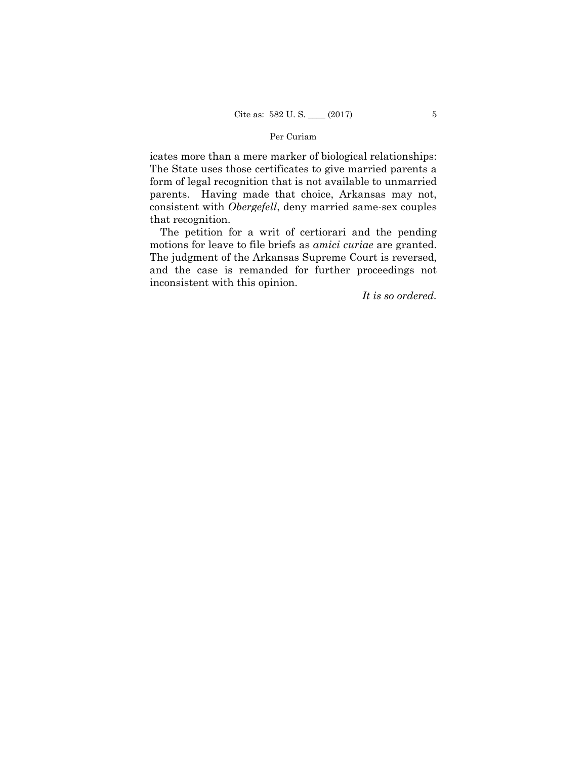## Per Curiam

icates more than a mere marker of biological relationships: The State uses those certificates to give married parents a form of legal recognition that is not available to unmarried parents. Having made that choice, Arkansas may not, consistent with *Obergefell*, deny married same-sex couples that recognition.

The petition for a writ of certiorari and the pending motions for leave to file briefs as *amici curiae* are granted. The judgment of the Arkansas Supreme Court is reversed, and the case is remanded for further proceedings not inconsistent with this opinion.

*It is so ordered.*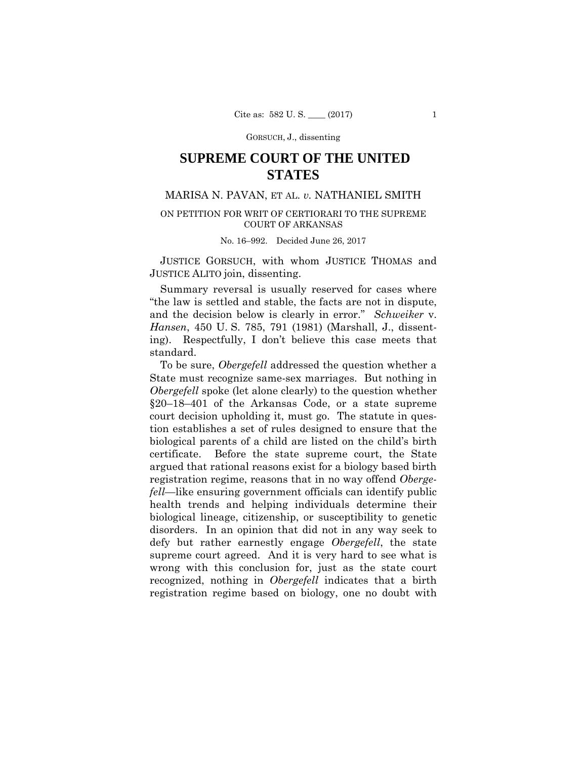GORSUCH, J., dissenting

# **SUPREME COURT OF THE UNITED STATES**

# MARISA N. PAVAN, ET AL. *v.* NATHANIEL SMITH

# ON PETITION FOR WRIT OF CERTIORARI TO THE SUPREME COURT OF ARKANSAS

#### No. 16–992. Decided June 26, 2017

 JUSTICE GORSUCH, with whom JUSTICE THOMAS and JUSTICE ALITO join, dissenting.

Summary reversal is usually reserved for cases where "the law is settled and stable, the facts are not in dispute, and the decision below is clearly in error." *Schweiker* v. *Hansen*, 450 U. S. 785, 791 (1981) (Marshall, J., dissenting). Respectfully, I don't believe this case meets that standard.

To be sure, *Obergefell* addressed the question whether a State must recognize same-sex marriages. But nothing in *Obergefell* spoke (let alone clearly) to the question whether §20–18–401 of the Arkansas Code, or a state supreme court decision upholding it, must go. The statute in question establishes a set of rules designed to ensure that the biological parents of a child are listed on the child's birth certificate. Before the state supreme court, the State argued that rational reasons exist for a biology based birth registration regime, reasons that in no way offend *Obergefell*—like ensuring government officials can identify public health trends and helping individuals determine their biological lineage, citizenship, or susceptibility to genetic disorders. In an opinion that did not in any way seek to defy but rather earnestly engage *Obergefell*, the state supreme court agreed. And it is very hard to see what is wrong with this conclusion for, just as the state court recognized, nothing in *Obergefell* indicates that a birth registration regime based on biology, one no doubt with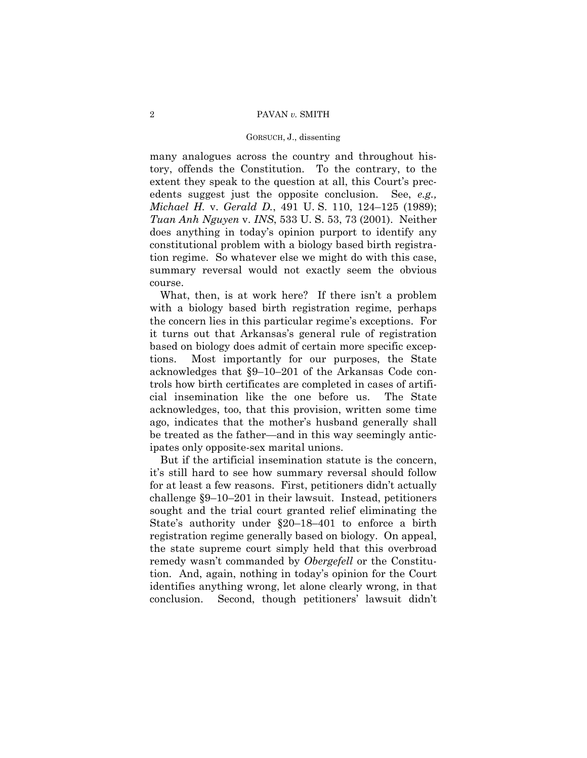#### 2 PAVAN *v.* SMITH

#### GORSUCH, J., dissenting

many analogues across the country and throughout history, offends the Constitution. To the contrary, to the extent they speak to the question at all, this Court's precedents suggest just the opposite conclusion. See, *e.g., Michael H.* v. *Gerald D.*, 491 U. S. 110, 124–125 (1989); *Tuan Anh Nguyen* v. *INS*, 533 U. S. 53, 73 (2001). Neither does anything in today's opinion purport to identify any constitutional problem with a biology based birth registration regime. So whatever else we might do with this case, summary reversal would not exactly seem the obvious course.

What, then, is at work here? If there isn't a problem with a biology based birth registration regime, perhaps the concern lies in this particular regime's exceptions. For it turns out that Arkansas's general rule of registration based on biology does admit of certain more specific exceptions. Most importantly for our purposes, the State acknowledges that §9–10–201 of the Arkansas Code controls how birth certificates are completed in cases of artificial insemination like the one before us. The State acknowledges, too, that this provision, written some time ago, indicates that the mother's husband generally shall be treated as the father—and in this way seemingly anticipates only opposite-sex marital unions.

But if the artificial insemination statute is the concern, it's still hard to see how summary reversal should follow for at least a few reasons. First, petitioners didn't actually challenge §9–10–201 in their lawsuit. Instead, petitioners sought and the trial court granted relief eliminating the State's authority under §20–18–401 to enforce a birth registration regime generally based on biology. On appeal, the state supreme court simply held that this overbroad remedy wasn't commanded by *Obergefell* or the Constitution. And, again, nothing in today's opinion for the Court identifies anything wrong, let alone clearly wrong, in that conclusion. Second, though petitioners' lawsuit didn't